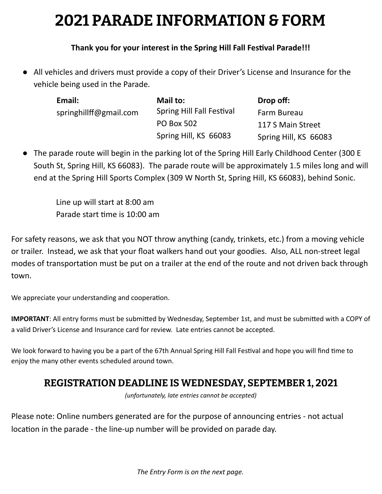## **2021 PARADE INFORMATION & FORM**

## **Thank you for your interest in the Spring Hill Fall Fesval Parade!!!**

● All vehicles and drivers must provide a copy of their Driver's License and Insurance for the vehicle being used in the Parade.

| Email:                 | Mail to:                  | Drop off:             |
|------------------------|---------------------------|-----------------------|
| springhillff@gmail.com | Spring Hill Fall Festival | Farm Bureau           |
|                        | <b>PO Box 502</b>         | 117 S Main Street     |
|                        | Spring Hill, KS 66083     | Spring Hill, KS 66083 |

● The parade route will begin in the parking lot of the Spring Hill Early Childhood Center (300 E South St, Spring Hill, KS 66083). The parade route will be approximately 1.5 miles long and will end at the Spring Hill Sports Complex (309 W North St, Spring Hill, KS 66083), behind Sonic.

Line up will start at 8:00 am Parade start time is 10:00 am

For safety reasons, we ask that you NOT throw anything (candy, trinkets, etc.) from a moving vehicle or trailer. Instead, we ask that your float walkers hand out your goodies. Also, ALL non-street legal modes of transportation must be put on a trailer at the end of the route and not driven back through town.

We appreciate your understanding and cooperation.

**IMPORTANT**: All entry forms must be submitted by Wednesday, September 1st, and must be submitted with a COPY of a valid Driver's License and Insurance card for review. Late entries cannot be accepted.

We look forward to having you be a part of the 67th Annual Spring Hill Fall Festival and hope you will find time to enjoy the many other events scheduled around town.

## **REGISTRATION DEADLINE IS WEDNESDAY, SEPTEMBER 1, 2021**

*(unfortunately, late entries cannot be accepted)*

Please note: Online numbers generated are for the purpose of announcing entries - not actual location in the parade - the line-up number will be provided on parade day.